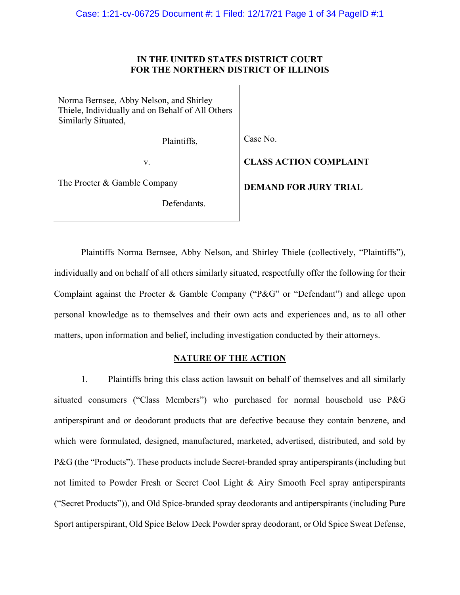# **IN THE UNITED STATES DISTRICT COURT FOR THE NORTHERN DISTRICT OF ILLINOIS**

Norma Bernsee, Abby Nelson, and Shirley Thiele, Individually and on Behalf of All Others Similarly Situated,

Plaintiffs,

Case No.

v.

The Procter & Gamble Company

Defendants.

**CLASS ACTION COMPLAINT DEMAND FOR JURY TRIAL**

Plaintiffs Norma Bernsee, Abby Nelson, and Shirley Thiele (collectively, "Plaintiffs"), individually and on behalf of all others similarly situated, respectfully offer the following for their Complaint against the Procter & Gamble Company ("P&G" or "Defendant") and allege upon personal knowledge as to themselves and their own acts and experiences and, as to all other matters, upon information and belief, including investigation conducted by their attorneys.

# **NATURE OF THE ACTION**

1. Plaintiffs bring this class action lawsuit on behalf of themselves and all similarly situated consumers ("Class Members") who purchased for normal household use P&G antiperspirant and or deodorant products that are defective because they contain benzene, and which were formulated, designed, manufactured, marketed, advertised, distributed, and sold by P&G (the "Products"). These products include Secret-branded spray antiperspirants (including but not limited to Powder Fresh or Secret Cool Light & Airy Smooth Feel spray antiperspirants ("Secret Products")), and Old Spice-branded spray deodorants and antiperspirants (including Pure Sport antiperspirant, Old Spice Below Deck Powder spray deodorant, or Old Spice Sweat Defense,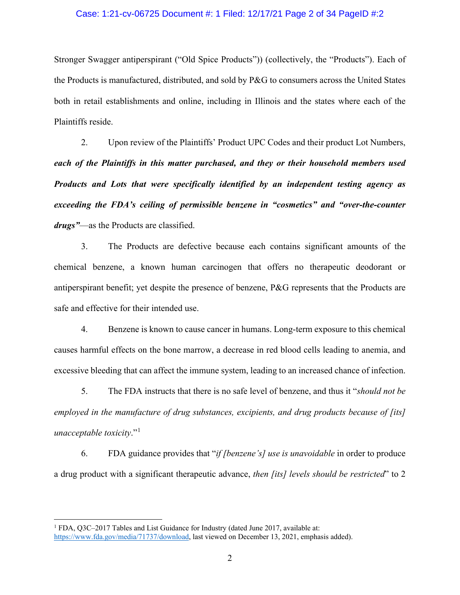# Case: 1:21-cv-06725 Document #: 1 Filed: 12/17/21 Page 2 of 34 PageID #:2

Stronger Swagger antiperspirant ("Old Spice Products")) (collectively, the "Products"). Each of the Products is manufactured, distributed, and sold by P&G to consumers across the United States both in retail establishments and online, including in Illinois and the states where each of the Plaintiffs reside.

2. Upon review of the Plaintiffs' Product UPC Codes and their product Lot Numbers, *each of the Plaintiffs in this matter purchased, and they or their household members used Products and Lots that were specifically identified by an independent testing agency as exceeding the FDA's ceiling of permissible benzene in "cosmetics" and "over-the-counter drugs"*—as the Products are classified.

3. The Products are defective because each contains significant amounts of the chemical benzene, a known human carcinogen that offers no therapeutic deodorant or antiperspirant benefit; yet despite the presence of benzene, P&G represents that the Products are safe and effective for their intended use.

4. Benzene is known to cause cancer in humans. Long-term exposure to this chemical causes harmful effects on the bone marrow, a decrease in red blood cells leading to anemia, and excessive bleeding that can affect the immune system, leading to an increased chance of infection.

5. The FDA instructs that there is no safe level of benzene, and thus it "*should not be employed in the manufacture of drug substances, excipients, and drug products because of [its] unacceptable toxicity*."[1](#page-1-0)

6. FDA guidance provides that "*if [benzene's] use is unavoidable* in order to produce a drug product with a significant therapeutic advance, *then [its] levels should be restricted*" to 2

<span id="page-1-0"></span><sup>&</sup>lt;sup>1</sup> FDA, Q3C-2017 Tables and List Guidance for Industry (dated June 2017, available at: [https://www.fda.gov/media/71737/download,](https://www.fda.gov/media/71737/download) last viewed on December 13, 2021, emphasis added).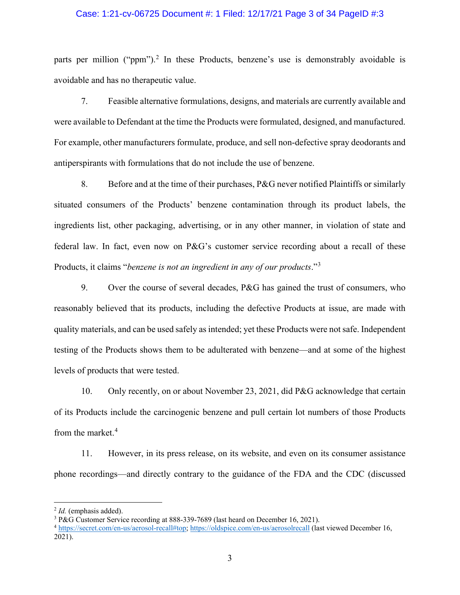# Case: 1:21-cv-06725 Document #: 1 Filed: 12/17/21 Page 3 of 34 PageID #:3

parts per million ("ppm").<sup>[2](#page-2-0)</sup> In these Products, benzene's use is demonstrably avoidable is avoidable and has no therapeutic value.

7. Feasible alternative formulations, designs, and materials are currently available and were available to Defendant at the time the Products were formulated, designed, and manufactured. For example, other manufacturers formulate, produce, and sell non-defective spray deodorants and antiperspirants with formulations that do not include the use of benzene.

8. Before and at the time of their purchases, P&G never notified Plaintiffs or similarly situated consumers of the Products' benzene contamination through its product labels, the ingredients list, other packaging, advertising, or in any other manner, in violation of state and federal law. In fact, even now on P&G's customer service recording about a recall of these Products, it claims "*benzene is not an ingredient in any of our products*."[3](#page-2-1)

9. Over the course of several decades, P&G has gained the trust of consumers, who reasonably believed that its products, including the defective Products at issue, are made with quality materials, and can be used safely as intended; yet these Products were not safe. Independent testing of the Products shows them to be adulterated with benzene—and at some of the highest levels of products that were tested.

10. Only recently, on or about November 23, 2021, did P&G acknowledge that certain of its Products include the carcinogenic benzene and pull certain lot numbers of those Products from the market.<sup>[4](#page-2-2)</sup>

11. However, in its press release, on its website, and even on its consumer assistance phone recordings—and directly contrary to the guidance of the FDA and the CDC (discussed

<span id="page-2-0"></span><sup>2</sup> *Id.* (emphasis added).

<span id="page-2-1"></span><sup>3</sup> P&G Customer Service recording at 888-339-7689 (last heard on December 16, 2021).

<span id="page-2-2"></span><sup>4</sup> [https://secret.com/en-us/aerosol-recall#top;](https://secret.com/en-us/aerosol-recall#top)<https://oldspice.com/en-us/aerosolrecall> (last viewed December 16, 2021).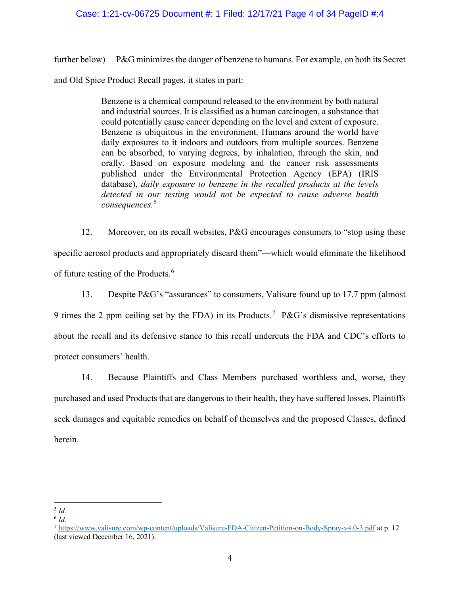# Case: 1:21-cv-06725 Document #: 1 Filed: 12/17/21 Page 4 of 34 PageID #:4

further below)— P&G minimizes the danger of benzene to humans. For example, on both its Secret and Old Spice Product Recall pages, it states in part:

> Benzene is a chemical compound released to the environment by both natural and industrial sources. It is classified as a human carcinogen, a substance that could potentially cause cancer depending on the level and extent of exposure. Benzene is ubiquitous in the environment. Humans around the world have daily exposures to it indoors and outdoors from multiple sources. Benzene can be absorbed, to varying degrees, by inhalation, through the skin, and orally. Based on exposure modeling and the cancer risk assessments published under the Environmental Protection Agency (EPA) (IRIS database), *daily exposure to benzene in the recalled products at the levels detected in our testing would not be expected to cause adverse health consequences.*[5](#page-3-0)

12. Moreover, on its recall websites, P&G encourages consumers to "stop using these specific aerosol products and appropriately discard them"—which would eliminate the likelihood of future testing of the Products.<sup>[6](#page-3-1)</sup>

13. Despite P&G's "assurances" to consumers, Valisure found up to 17.7 ppm (almost 9 times the 2 ppm ceiling set by the FDA) in its Products.<sup>[7](#page-3-2)</sup> P&G's dismissive representations about the recall and its defensive stance to this recall undercuts the FDA and CDC's efforts to protect consumers' health.

14. Because Plaintiffs and Class Members purchased worthless and, worse, they purchased and used Products that are dangerous to their health, they have suffered losses. Plaintiffs seek damages and equitable remedies on behalf of themselves and the proposed Classes, defined herein.

<span id="page-3-0"></span><sup>5</sup> *Id.*

<span id="page-3-1"></span><sup>6</sup> *Id.*

<span id="page-3-2"></span><sup>7</sup> <https://www.valisure.com/wp-content/uploads/Valisure-FDA-Citizen-Petition-on-Body-Spray-v4.0-3.pdf> at p. 12 (last viewed December 16, 2021).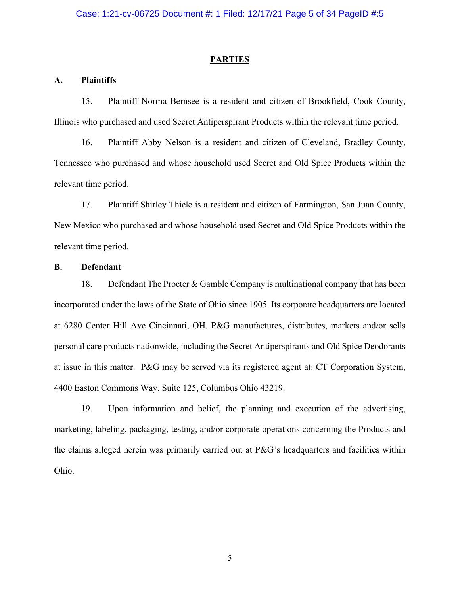#### **PARTIES**

# **A. Plaintiffs**

15. Plaintiff Norma Bernsee is a resident and citizen of Brookfield, Cook County, Illinois who purchased and used Secret Antiperspirant Products within the relevant time period.

16. Plaintiff Abby Nelson is a resident and citizen of Cleveland, Bradley County, Tennessee who purchased and whose household used Secret and Old Spice Products within the relevant time period.

17. Plaintiff Shirley Thiele is a resident and citizen of Farmington, San Juan County, New Mexico who purchased and whose household used Secret and Old Spice Products within the relevant time period.

# **B. Defendant**

18. Defendant The Procter & Gamble Company is multinational company that has been incorporated under the laws of the State of Ohio since 1905. Its corporate headquarters are located at 6280 Center Hill Ave Cincinnati, OH. P&G manufactures, distributes, markets and/or sells personal care products nationwide, including the Secret Antiperspirants and Old Spice Deodorants at issue in this matter. P&G may be served via its registered agent at: CT Corporation System, 4400 Easton Commons Way, Suite 125, Columbus Ohio 43219.

19. Upon information and belief, the planning and execution of the advertising, marketing, labeling, packaging, testing, and/or corporate operations concerning the Products and the claims alleged herein was primarily carried out at P&G's headquarters and facilities within Ohio.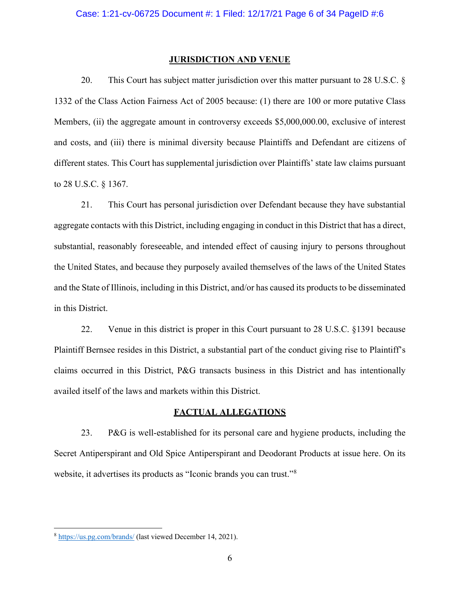#### **JURISDICTION AND VENUE**

20. This Court has subject matter jurisdiction over this matter pursuant to 28 U.S.C. § 1332 of the Class Action Fairness Act of 2005 because: (1) there are 100 or more putative Class Members, (ii) the aggregate amount in controversy exceeds \$5,000,000.00, exclusive of interest and costs, and (iii) there is minimal diversity because Plaintiffs and Defendant are citizens of different states. This Court has supplemental jurisdiction over Plaintiffs' state law claims pursuant to 28 U.S.C. § 1367.

21. This Court has personal jurisdiction over Defendant because they have substantial aggregate contacts with this District, including engaging in conduct in this District that has a direct, substantial, reasonably foreseeable, and intended effect of causing injury to persons throughout the United States, and because they purposely availed themselves of the laws of the United States and the State of Illinois, including in this District, and/or has caused its products to be disseminated in this District.

22. Venue in this district is proper in this Court pursuant to 28 U.S.C. §1391 because Plaintiff Bernsee resides in this District, a substantial part of the conduct giving rise to Plaintiff's claims occurred in this District, P&G transacts business in this District and has intentionally availed itself of the laws and markets within this District.

#### **FACTUAL ALLEGATIONS**

23. P&G is well-established for its personal care and hygiene products, including the Secret Antiperspirant and Old Spice Antiperspirant and Deodorant Products at issue here. On its website, it advertises its products as "Iconic brands you can trust."<sup>[8](#page-5-0)</sup>

<span id="page-5-0"></span><sup>8</sup> <https://us.pg.com/brands/> (last viewed December 14, 2021).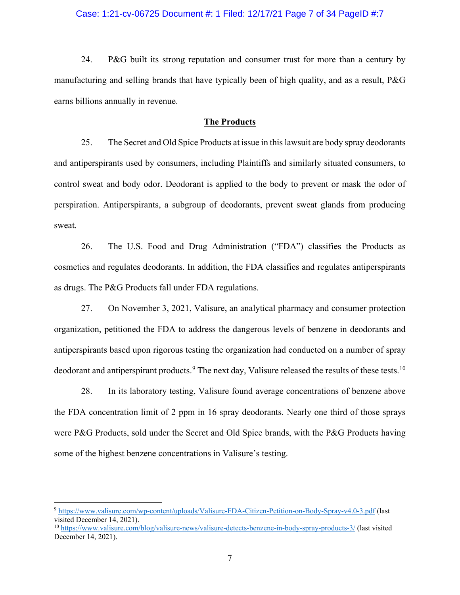# Case: 1:21-cv-06725 Document #: 1 Filed: 12/17/21 Page 7 of 34 PageID #:7

24. P&G built its strong reputation and consumer trust for more than a century by manufacturing and selling brands that have typically been of high quality, and as a result, P&G earns billions annually in revenue.

# **The Products**

25. The Secret and Old Spice Products at issue in this lawsuit are body spray deodorants and antiperspirants used by consumers, including Plaintiffs and similarly situated consumers, to control sweat and body odor. Deodorant is applied to the body to prevent or mask the odor of perspiration. Antiperspirants, a subgroup of deodorants, prevent sweat glands from producing sweat.

26. The U.S. Food and Drug Administration ("FDA") classifies the Products as cosmetics and regulates deodorants. In addition, the FDA classifies and regulates antiperspirants as drugs. The P&G Products fall under FDA regulations.

27. On November 3, 2021, Valisure, an analytical pharmacy and consumer protection organization, petitioned the FDA to address the dangerous levels of benzene in deodorants and antiperspirants based upon rigorous testing the organization had conducted on a number of spray deodorant and antiperspirant products.<sup>[9](#page-6-0)</sup> The next day, Valisure released the results of these tests.<sup>[10](#page-6-1)</sup>

28. In its laboratory testing, Valisure found average concentrations of benzene above the FDA concentration limit of 2 ppm in 16 spray deodorants. Nearly one third of those sprays were P&G Products, sold under the Secret and Old Spice brands, with the P&G Products having some of the highest benzene concentrations in Valisure's testing.

<span id="page-6-0"></span><sup>9</sup> <https://www.valisure.com/wp-content/uploads/Valisure-FDA-Citizen-Petition-on-Body-Spray-v4.0-3.pdf> (last visited December 14, 2021).

<span id="page-6-1"></span><sup>10</sup> <https://www.valisure.com/blog/valisure-news/valisure-detects-benzene-in-body-spray-products-3/> (last visited December 14, 2021).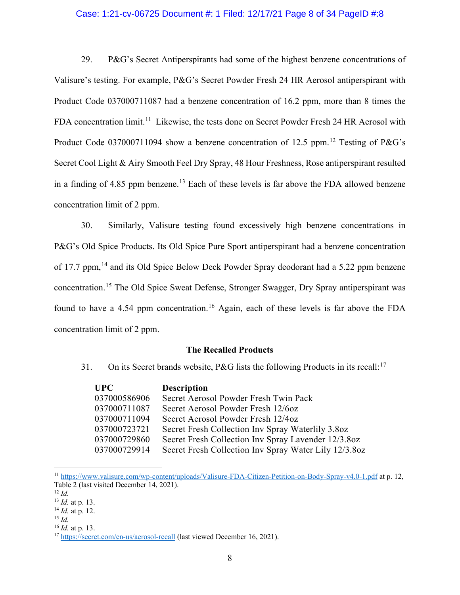# Case: 1:21-cv-06725 Document #: 1 Filed: 12/17/21 Page 8 of 34 PageID #:8

29. P&G's Secret Antiperspirants had some of the highest benzene concentrations of Valisure's testing. For example, P&G's Secret Powder Fresh 24 HR Aerosol antiperspirant with Product Code 037000711087 had a benzene concentration of 16.2 ppm, more than 8 times the FDA concentration limit.<sup>[11](#page-7-0)</sup> Likewise, the tests done on Secret Powder Fresh 24 HR Aerosol with Product Code 037000711094 show a benzene concentration of [12](#page-7-1).5 ppm.<sup>12</sup> Testing of P&G's Secret Cool Light & Airy Smooth Feel Dry Spray, 48 Hour Freshness, Rose antiperspirant resulted in a finding of  $4.85$  ppm benzene.<sup>[13](#page-7-2)</sup> Each of these levels is far above the FDA allowed benzene concentration limit of 2 ppm.

30. Similarly, Valisure testing found excessively high benzene concentrations in P&G's Old Spice Products. Its Old Spice Pure Sport antiperspirant had a benzene concentration of 17.7 ppm, <sup>[14](#page-7-3)</sup> and its Old Spice Below Deck Powder Spray deodorant had a 5.22 ppm benzene concentration.[15](#page-7-4) The Old Spice Sweat Defense, Stronger Swagger, Dry Spray antiperspirant was found to have a 4.54 ppm concentration.<sup>[16](#page-7-5)</sup> Again, each of these levels is far above the FDA concentration limit of 2 ppm.

#### **The Recalled Products**

31. On its Secret brands website, P&G lists the following Products in its recall:<sup>[17](#page-7-6)</sup>

| UPC –        | <b>Description</b>                                    |
|--------------|-------------------------------------------------------|
| 037000586906 | Secret Aerosol Powder Fresh Twin Pack                 |
| 037000711087 | Secret Aerosol Powder Fresh 12/60z                    |
| 037000711094 | Secret Aerosol Powder Fresh 12/4oz                    |
| 037000723721 | Secret Fresh Collection Inv Spray Waterlily 3.8oz     |
| 037000729860 | Secret Fresh Collection Inv Spray Lavender 12/3.8oz   |
| 037000729914 | Secret Fresh Collection Inv Spray Water Lily 12/3.8oz |

<span id="page-7-0"></span><sup>11</sup> <https://www.valisure.com/wp-content/uploads/Valisure-FDA-Citizen-Petition-on-Body-Spray-v4.0-1.pdf> at p. 12, Table 2 (last visited December 14, 2021).

<span id="page-7-5"></span><sup>16</sup> *Id.* at p. 13.

<span id="page-7-1"></span><sup>12</sup> *Id.*

<span id="page-7-2"></span><sup>13</sup> *Id.* at p. 13.

<span id="page-7-3"></span><sup>14</sup> *Id.* at p. 12.

<span id="page-7-4"></span><sup>15</sup> *Id.*

<span id="page-7-6"></span><sup>&</sup>lt;sup>17</sup> <https://secret.com/en-us/aerosol-recall> (last viewed December 16, 2021).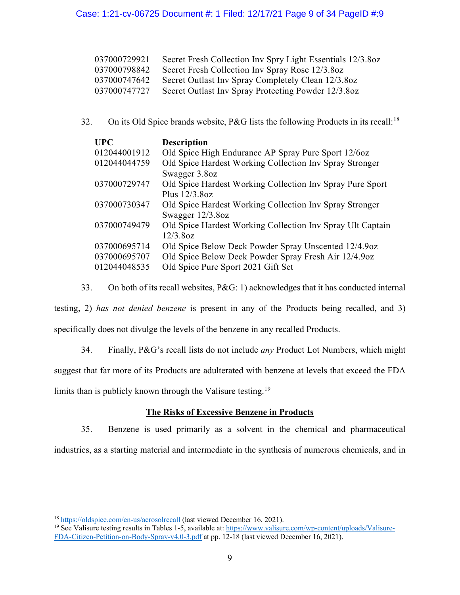# Case: 1:21-cv-06725 Document #: 1 Filed: 12/17/21 Page 9 of 34 PageID #:9

| 037000729921 | Secret Fresh Collection Inv Spry Light Essentials 12/3.8oz |
|--------------|------------------------------------------------------------|
| 037000798842 | Secret Fresh Collection Inv Spray Rose 12/3.8oz            |
| 037000747642 | Secret Outlast Inv Spray Completely Clean 12/3.8oz         |
| 037000747727 | Secret Outlast Inv Spray Protecting Powder 12/3.8oz        |

32. On its Old Spice brands website, P&G lists the following Products in its recall:<sup>[18](#page-8-0)</sup>

| <b>UPC</b>   | <b>Description</b>                                         |
|--------------|------------------------------------------------------------|
| 012044001912 | Old Spice High Endurance AP Spray Pure Sport 12/60z        |
| 012044044759 | Old Spice Hardest Working Collection Inv Spray Stronger    |
|              | Swagger 3.8oz                                              |
| 037000729747 | Old Spice Hardest Working Collection Inv Spray Pure Sport  |
|              | Plus $12/3.8$ oz                                           |
| 037000730347 | Old Spice Hardest Working Collection Inv Spray Stronger    |
|              | Swagger $12/3.8$ oz                                        |
| 037000749479 | Old Spice Hardest Working Collection Inv Spray Ult Captain |
|              | 12/3.8oz                                                   |
| 037000695714 | Old Spice Below Deck Powder Spray Unscented 12/4.9oz       |
| 037000695707 | Old Spice Below Deck Powder Spray Fresh Air 12/4.9oz       |
| 012044048535 | Old Spice Pure Sport 2021 Gift Set                         |

33. On both of its recall websites, P&G: 1) acknowledges that it has conducted internal

testing, 2) *has not denied benzene* is present in any of the Products being recalled, and 3)

specifically does not divulge the levels of the benzene in any recalled Products.

34. Finally, P&G's recall lists do not include *any* Product Lot Numbers, which might

suggest that far more of its Products are adulterated with benzene at levels that exceed the FDA

limits than is publicly known through the Valisure testing.<sup>[19](#page-8-1)</sup>

# **The Risks of Excessive Benzene in Products**

35. Benzene is used primarily as a solvent in the chemical and pharmaceutical

industries, as a starting material and intermediate in the synthesis of numerous chemicals, and in

<span id="page-8-0"></span><sup>&</sup>lt;sup>18</sup> <https://oldspice.com/en-us/aerosolrecall> (last viewed December 16, 2021).

<span id="page-8-1"></span><sup>&</sup>lt;sup>19</sup> See Valisure testing results in Tables 1-5, available at: [https://www.valisure.com/wp-content/uploads/Valisure-](https://www.valisure.com/wp-content/uploads/Valisure-FDA-Citizen-Petition-on-Body-Spray-v4.0-3.pdf)[FDA-Citizen-Petition-on-Body-Spray-v4.0-3.pdf](https://www.valisure.com/wp-content/uploads/Valisure-FDA-Citizen-Petition-on-Body-Spray-v4.0-3.pdf) at pp. 12-18 (last viewed December 16, 2021).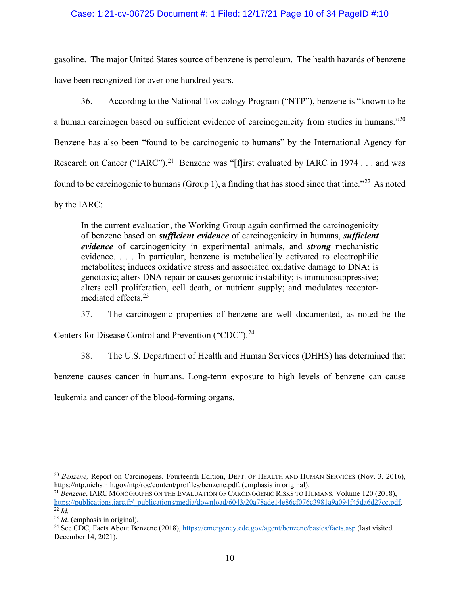# Case: 1:21-cv-06725 Document #: 1 Filed: 12/17/21 Page 10 of 34 PageID #:10

gasoline. The major United States source of benzene is petroleum. The health hazards of benzene have been recognized for over one hundred years.

36. According to the National Toxicology Program ("NTP"), benzene is "known to be a human carcinogen based on sufficient evidence of carcinogenicity from studies in humans."<sup>[20](#page-9-0)</sup> Benzene has also been "found to be carcinogenic to humans" by the International Agency for Research on Cancer ("IARC").<sup>[21](#page-9-1)</sup> Benzene was "[f]irst evaluated by IARC in 1974 . . . and was found to be carcinogenic to humans (Group 1), a finding that has stood since that time."<sup>[22](#page-9-2)</sup> As noted by the IARC:

In the current evaluation, the Working Group again confirmed the carcinogenicity of benzene based on *sufficient evidence* of carcinogenicity in humans, *sufficient evidence* of carcinogenicity in experimental animals, and *strong* mechanistic evidence. . . . In particular, benzene is metabolically activated to electrophilic metabolites; induces oxidative stress and associated oxidative damage to DNA; is genotoxic; alters DNA repair or causes genomic instability; is immunosuppressive; alters cell proliferation, cell death, or nutrient supply; and modulates receptormediated effects.[23](#page-9-3)

37. The carcinogenic properties of benzene are well documented, as noted be the

Centers for Disease Control and Prevention ("CDC").<sup>[24](#page-9-4)</sup>

38. The U.S. Department of Health and Human Services (DHHS) has determined that

benzene causes cancer in humans. Long-term exposure to high levels of benzene can cause

leukemia and cancer of the blood-forming organs.

<span id="page-9-0"></span><sup>&</sup>lt;sup>20</sup> *Benzene*, Report on Carcinogens, Fourteenth Edition, DEPT. OF HEALTH AND HUMAN SERVICES (Nov. 3, 2016), https://ntp.niehs.nih.gov/ntp/roc/content/profiles/benzene.pdf. (emphasis in original).

<span id="page-9-1"></span><sup>21</sup> *Benzene*, IARC MONOGRAPHS ON THE EVALUATION OF CARCINOGENIC RISKS TO HUMANS, Volume 120 (2018), [https://publications.iarc.fr/\\_publications/media/download/6043/20a78ade14e86cf076c3981a9a094f45da6d27cc.pdf.](https://publications.iarc.fr/_publications/media/download/6043/20a78ade14e86cf076c3981a9a094f45da6d27cc.pdf)  $\overline{22}$   $\overline{Id}$ .

<span id="page-9-3"></span><span id="page-9-2"></span><sup>23</sup> *Id*. (emphasis in original).

<span id="page-9-4"></span><sup>&</sup>lt;sup>24</sup> See CDC, Facts About Benzene (2018),<https://emergency.cdc.gov/agent/benzene/basics/facts.asp> (last visited December 14, 2021).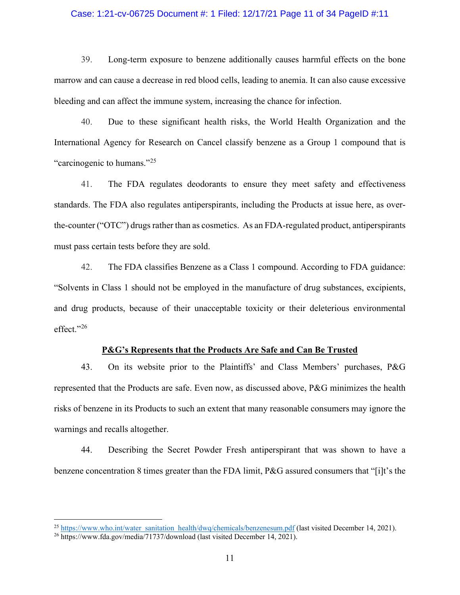# Case: 1:21-cv-06725 Document #: 1 Filed: 12/17/21 Page 11 of 34 PageID #:11

39. Long-term exposure to benzene additionally causes harmful effects on the bone marrow and can cause a decrease in red blood cells, leading to anemia. It can also cause excessive bleeding and can affect the immune system, increasing the chance for infection.

40. Due to these significant health risks, the World Health Organization and the International Agency for Research on Cancel classify benzene as a Group 1 compound that is "carcinogenic to humans."[25](#page-10-0)

41. The FDA regulates deodorants to ensure they meet safety and effectiveness standards. The FDA also regulates antiperspirants, including the Products at issue here, as overthe-counter ("OTC") drugs rather than as cosmetics. As an FDA-regulated product, antiperspirants must pass certain tests before they are sold.

42. The FDA classifies Benzene as a Class 1 compound. According to FDA guidance: "Solvents in Class 1 should not be employed in the manufacture of drug substances, excipients, and drug products, because of their unacceptable toxicity or their deleterious environmental effect."[26](#page-10-1)

# **P&G's Represents that the Products Are Safe and Can Be Trusted**

43. On its website prior to the Plaintiffs' and Class Members' purchases, P&G represented that the Products are safe. Even now, as discussed above, P&G minimizes the health risks of benzene in its Products to such an extent that many reasonable consumers may ignore the warnings and recalls altogether.

44. Describing the Secret Powder Fresh antiperspirant that was shown to have a benzene concentration 8 times greater than the FDA limit, P&G assured consumers that "[i]t's the

<span id="page-10-0"></span><sup>&</sup>lt;sup>25</sup> [https://www.who.int/water\\_sanitation\\_health/dwq/chemicals/benzenesum.pdf](https://www.who.int/water_sanitation_health/dwq/chemicals/benzenesum.pdf) (last visited December 14, 2021).

<span id="page-10-1"></span><sup>&</sup>lt;sup>26</sup> https://www.fda.gov/media/71737/download (last visited December 14, 2021).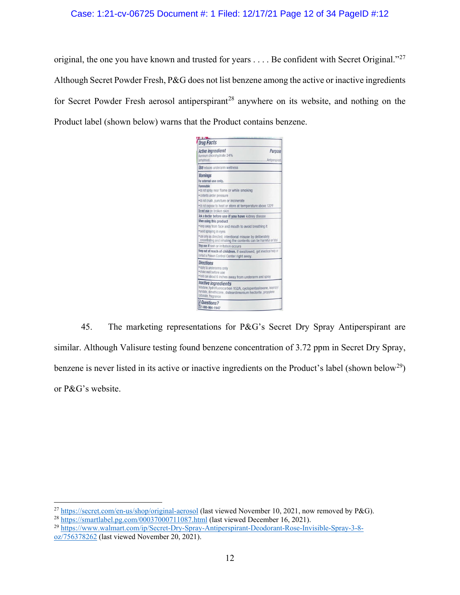# Case: 1:21-cv-06725 Document #: 1 Filed: 12/17/21 Page 12 of 34 PageID #:12

original, the one you have known and trusted for years  $\dots$ . Be confident with Secret Original."<sup>[27](#page-11-0)</sup> Although Secret Powder Fresh, P&G does not list benzene among the active or inactive ingredients for Secret Powder Fresh aerosol antiperspirant<sup>[28](#page-11-1)</sup> anywhere on its website, and nothing on the Product label (shown below) warns that the Product contains benzene.



45. The marketing representations for P&G's Secret Dry Spray Antiperspirant are similar. Although Valisure testing found benzene concentration of 3.72 ppm in Secret Dry Spray, benzene is never listed in its active or inactive ingredients on the Product's label (shown below<sup>[29](#page-11-2)</sup>) or P&G's website.

<span id="page-11-1"></span><span id="page-11-0"></span><sup>&</sup>lt;sup>27</sup> <https://secret.com/en-us/shop/original-aerosol> (last viewed November 10, 2021, now removed by P&G). <sup>28</sup> <https://smartlabel.pg.com/00037000711087.html> (last viewed December 16, 2021).

<span id="page-11-2"></span><sup>29</sup> [https://www.walmart.com/ip/Secret-Dry-Spray-Antiperspirant-Deodorant-Rose-Invisible-Spray-3-8](https://www.walmart.com/ip/Secret-Dry-Spray-Antiperspirant-Deodorant-Rose-Invisible-Spray-3-8-oz/756378262) [oz/756378262](https://www.walmart.com/ip/Secret-Dry-Spray-Antiperspirant-Deodorant-Rose-Invisible-Spray-3-8-oz/756378262) (last viewed November 20, 2021).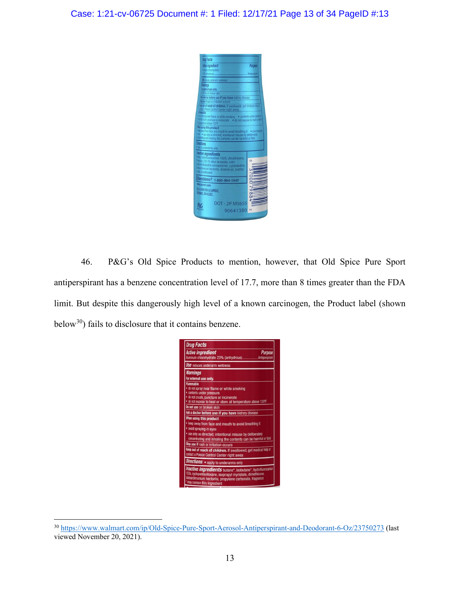

46. P&G's Old Spice Products to mention, however, that Old Spice Pure Sport antiperspirant has a benzene concentration level of 17.7, more than 8 times greater than the FDA limit. But despite this dangerously high level of a known carcinogen, the Product label (shown below<sup>30</sup>) fails to disclosure that it contains benzene.

| <b>Drug Facts</b>                                                                                                                                                                                                                             |
|-----------------------------------------------------------------------------------------------------------------------------------------------------------------------------------------------------------------------------------------------|
| <b>Active ingredient</b><br><b>Purpose</b><br>Aluminum chlorohydrate 23% (anhydrous)Antiperspirant                                                                                                                                            |
| <b>Use</b> reduces underarm wetness                                                                                                                                                                                                           |
| <b>Warnings</b><br>For external use only.                                                                                                                                                                                                     |
| <b>Flammable</b><br>. do not spray near flame or while smoking<br>· contents under pressure<br>. do not crush, puncture or incinerate<br>. do not expose to heat or store at temperature above 120°F                                          |
| Do not use on broken skin                                                                                                                                                                                                                     |
| Ask a doctor before use if you have kidney disease                                                                                                                                                                                            |
| When using this product<br>. keep away from face and mouth to avoid breathing it<br>· avoid spraying in eyes<br>* use only as directed; intentional misuse by deliberately<br>concentrating and inhaling the contents can be harmful or fatal |
| Stop use if rash or irritation occurs                                                                                                                                                                                                         |
| Keep out of reach of children. If swallowed, get medical help or<br>contact a Poison Control Center right away.                                                                                                                               |
| Directions • apply to underarms only                                                                                                                                                                                                          |
| Inactive ingredients butane*, isobutane*, hydrofluorocarbon<br>152a, cyclopentasiloxane, isopropyl myristate, dimethicone,<br>disteardimonium hectorite, propylene carbonate, fragrance<br>may contain this ingredient                        |

<span id="page-12-0"></span><sup>30</sup> <https://www.walmart.com/ip/Old-Spice-Pure-Sport-Aerosol-Antiperspirant-and-Deodorant-6-Oz/23750273> (last viewed November 20, 2021).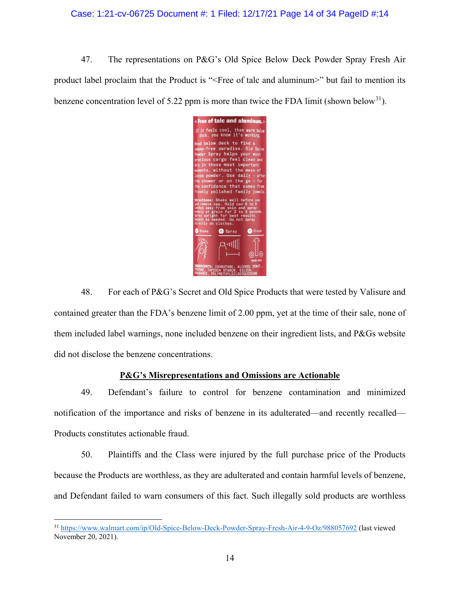# Case: 1:21-cv-06725 Document #: 1 Filed: 12/17/21 Page 14 of 34 PageID #:14

47. The representations on P&G's Old Spice Below Deck Powder Spray Fresh Air product label proclaim that the Product is "<Free of talc and aluminum>" but fail to mention its benzene concentration level of 5.22 ppm is more than twice the FDA limit (shown below<sup>[31](#page-13-0)</sup>).



48. For each of P&G's Secret and Old Spice Products that were tested by Valisure and contained greater than the FDA's benzene limit of 2.00 ppm, yet at the time of their sale, none of them included label warnings, none included benzene on their ingredient lists, and P&Gs website did not disclose the benzene concentrations.

# **P&G's Misrepresentations and Omissions are Actionable**

49. Defendant's failure to control for benzene contamination and minimized notification of the importance and risks of benzene in its adulterated—and recently recalled— Products constitutes actionable fraud.

50. Plaintiffs and the Class were injured by the full purchase price of the Products because the Products are worthless, as they are adulterated and contain harmful levels of benzene, and Defendant failed to warn consumers of this fact. Such illegally sold products are worthless

<span id="page-13-0"></span><sup>31</sup> <https://www.walmart.com/ip/Old-Spice-Below-Deck-Powder-Spray-Fresh-Air-4-9-Oz/988057692> (last viewed November 20, 2021).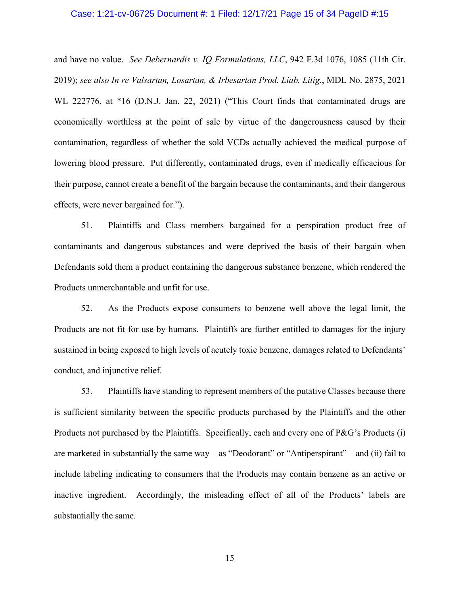# Case: 1:21-cv-06725 Document #: 1 Filed: 12/17/21 Page 15 of 34 PageID #:15

and have no value. *See Debernardis v. IQ Formulations, LLC*, 942 F.3d 1076, 1085 (11th Cir. 2019); *see also In re Valsartan, Losartan, & Irbesartan Prod. Liab. Litig.*, MDL No. 2875, 2021 WL 222776, at \*16 (D.N.J. Jan. 22, 2021) ("This Court finds that contaminated drugs are economically worthless at the point of sale by virtue of the dangerousness caused by their contamination, regardless of whether the sold VCDs actually achieved the medical purpose of lowering blood pressure. Put differently, contaminated drugs, even if medically efficacious for their purpose, cannot create a benefit of the bargain because the contaminants, and their dangerous effects, were never bargained for.").

51. Plaintiffs and Class members bargained for a perspiration product free of contaminants and dangerous substances and were deprived the basis of their bargain when Defendants sold them a product containing the dangerous substance benzene, which rendered the Products unmerchantable and unfit for use.

52. As the Products expose consumers to benzene well above the legal limit, the Products are not fit for use by humans. Plaintiffs are further entitled to damages for the injury sustained in being exposed to high levels of acutely toxic benzene, damages related to Defendants' conduct, and injunctive relief.

53. Plaintiffs have standing to represent members of the putative Classes because there is sufficient similarity between the specific products purchased by the Plaintiffs and the other Products not purchased by the Plaintiffs. Specifically, each and every one of P&G's Products (i) are marketed in substantially the same way – as "Deodorant" or "Antiperspirant" – and (ii) fail to include labeling indicating to consumers that the Products may contain benzene as an active or inactive ingredient. Accordingly, the misleading effect of all of the Products' labels are substantially the same.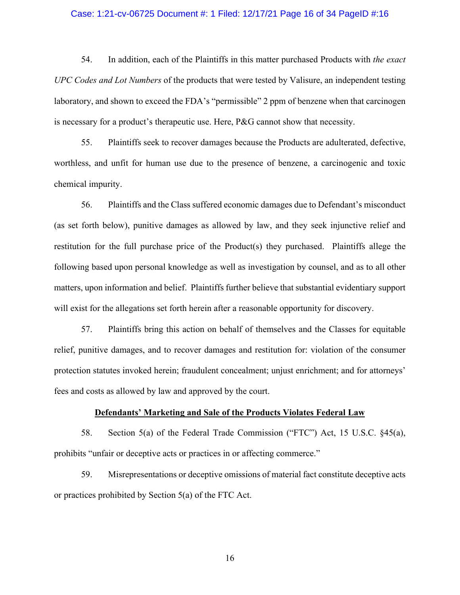#### Case: 1:21-cv-06725 Document #: 1 Filed: 12/17/21 Page 16 of 34 PageID #:16

54. In addition, each of the Plaintiffs in this matter purchased Products with *the exact UPC Codes and Lot Numbers* of the products that were tested by Valisure, an independent testing laboratory, and shown to exceed the FDA's "permissible" 2 ppm of benzene when that carcinogen is necessary for a product's therapeutic use. Here, P&G cannot show that necessity.

55. Plaintiffs seek to recover damages because the Products are adulterated, defective, worthless, and unfit for human use due to the presence of benzene, a carcinogenic and toxic chemical impurity.

56. Plaintiffs and the Class suffered economic damages due to Defendant's misconduct (as set forth below), punitive damages as allowed by law, and they seek injunctive relief and restitution for the full purchase price of the Product(s) they purchased. Plaintiffs allege the following based upon personal knowledge as well as investigation by counsel, and as to all other matters, upon information and belief. Plaintiffs further believe that substantial evidentiary support will exist for the allegations set forth herein after a reasonable opportunity for discovery.

57. Plaintiffs bring this action on behalf of themselves and the Classes for equitable relief, punitive damages, and to recover damages and restitution for: violation of the consumer protection statutes invoked herein; fraudulent concealment; unjust enrichment; and for attorneys' fees and costs as allowed by law and approved by the court.

# **Defendants' Marketing and Sale of the Products Violates Federal Law**

58. Section 5(a) of the Federal Trade Commission ("FTC") Act, 15 U.S.C. §45(a), prohibits "unfair or deceptive acts or practices in or affecting commerce."

59. Misrepresentations or deceptive omissions of material fact constitute deceptive acts or practices prohibited by Section 5(a) of the FTC Act.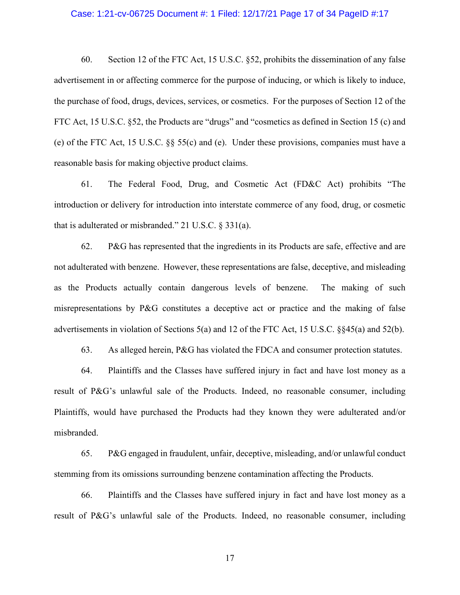#### Case: 1:21-cv-06725 Document #: 1 Filed: 12/17/21 Page 17 of 34 PageID #:17

60. Section 12 of the FTC Act, 15 U.S.C. §52, prohibits the dissemination of any false advertisement in or affecting commerce for the purpose of inducing, or which is likely to induce, the purchase of food, drugs, devices, services, or cosmetics. For the purposes of Section 12 of the FTC Act, 15 U.S.C. §52, the Products are "drugs" and "cosmetics as defined in Section 15 (c) and (e) of the FTC Act, 15 U.S.C. §§ 55(c) and (e). Under these provisions, companies must have a reasonable basis for making objective product claims.

61. The Federal Food, Drug, and Cosmetic Act (FD&C Act) prohibits "The introduction or delivery for introduction into interstate commerce of any food, drug, or cosmetic that is adulterated or misbranded." 21 U.S.C. § 331(a).

62. P&G has represented that the ingredients in its Products are safe, effective and are not adulterated with benzene. However, these representations are false, deceptive, and misleading as the Products actually contain dangerous levels of benzene. The making of such misrepresentations by P&G constitutes a deceptive act or practice and the making of false advertisements in violation of Sections 5(a) and 12 of the FTC Act, 15 U.S.C. §§45(a) and 52(b).

63. As alleged herein, P&G has violated the FDCA and consumer protection statutes.

64. Plaintiffs and the Classes have suffered injury in fact and have lost money as a result of P&G's unlawful sale of the Products. Indeed, no reasonable consumer, including Plaintiffs, would have purchased the Products had they known they were adulterated and/or misbranded.

65. P&G engaged in fraudulent, unfair, deceptive, misleading, and/or unlawful conduct stemming from its omissions surrounding benzene contamination affecting the Products.

66. Plaintiffs and the Classes have suffered injury in fact and have lost money as a result of P&G's unlawful sale of the Products. Indeed, no reasonable consumer, including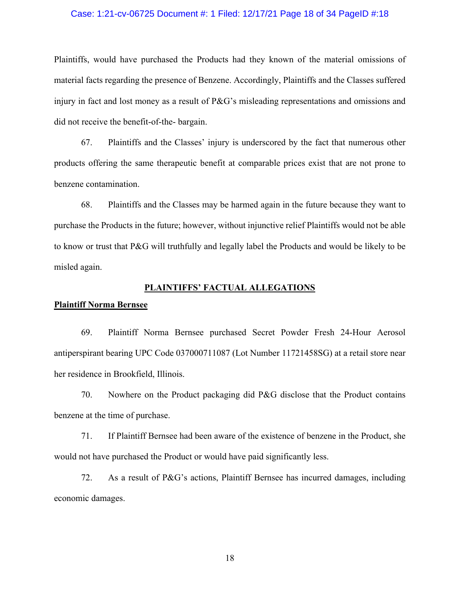# Case: 1:21-cv-06725 Document #: 1 Filed: 12/17/21 Page 18 of 34 PageID #:18

Plaintiffs, would have purchased the Products had they known of the material omissions of material facts regarding the presence of Benzene. Accordingly, Plaintiffs and the Classes suffered injury in fact and lost money as a result of P&G's misleading representations and omissions and did not receive the benefit-of-the- bargain.

67. Plaintiffs and the Classes' injury is underscored by the fact that numerous other products offering the same therapeutic benefit at comparable prices exist that are not prone to benzene contamination.

68. Plaintiffs and the Classes may be harmed again in the future because they want to purchase the Products in the future; however, without injunctive relief Plaintiffs would not be able to know or trust that P&G will truthfully and legally label the Products and would be likely to be misled again.

#### **PLAINTIFFS' FACTUAL ALLEGATIONS**

#### **Plaintiff Norma Bernsee**

69. Plaintiff Norma Bernsee purchased Secret Powder Fresh 24-Hour Aerosol antiperspirant bearing UPC Code 037000711087 (Lot Number 11721458SG) at a retail store near her residence in Brookfield, Illinois.

70. Nowhere on the Product packaging did P&G disclose that the Product contains benzene at the time of purchase.

71. If Plaintiff Bernsee had been aware of the existence of benzene in the Product, she would not have purchased the Product or would have paid significantly less.

72. As a result of P&G's actions, Plaintiff Bernsee has incurred damages, including economic damages.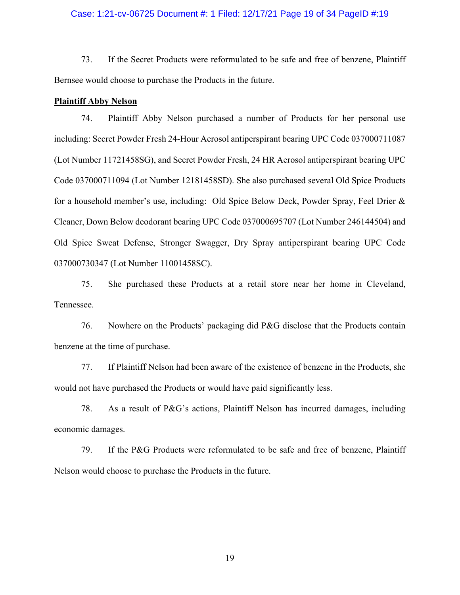# Case: 1:21-cv-06725 Document #: 1 Filed: 12/17/21 Page 19 of 34 PageID #:19

73. If the Secret Products were reformulated to be safe and free of benzene, Plaintiff Bernsee would choose to purchase the Products in the future.

#### **Plaintiff Abby Nelson**

74. Plaintiff Abby Nelson purchased a number of Products for her personal use including: Secret Powder Fresh 24-Hour Aerosol antiperspirant bearing UPC Code 037000711087 (Lot Number 11721458SG), and Secret Powder Fresh, 24 HR Aerosol antiperspirant bearing UPC Code 037000711094 (Lot Number 12181458SD). She also purchased several Old Spice Products for a household member's use, including: Old Spice Below Deck, Powder Spray, Feel Drier & Cleaner, Down Below deodorant bearing UPC Code 037000695707 (Lot Number 246144504) and Old Spice Sweat Defense, Stronger Swagger, Dry Spray antiperspirant bearing UPC Code 037000730347 (Lot Number 11001458SC).

75. She purchased these Products at a retail store near her home in Cleveland, Tennessee.

76. Nowhere on the Products' packaging did P&G disclose that the Products contain benzene at the time of purchase.

77. If Plaintiff Nelson had been aware of the existence of benzene in the Products, she would not have purchased the Products or would have paid significantly less.

78. As a result of P&G's actions, Plaintiff Nelson has incurred damages, including economic damages.

79. If the P&G Products were reformulated to be safe and free of benzene, Plaintiff Nelson would choose to purchase the Products in the future.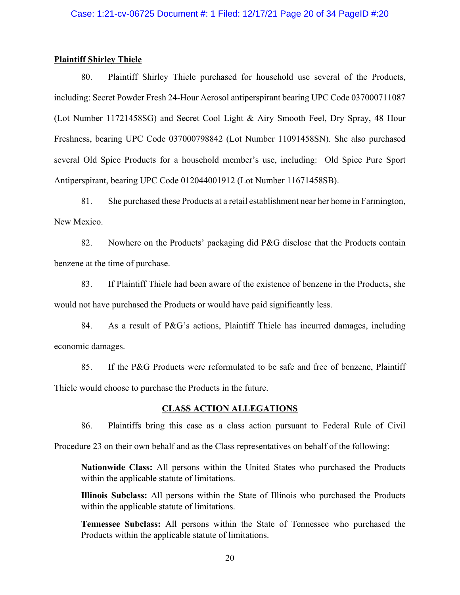# Case: 1:21-cv-06725 Document #: 1 Filed: 12/17/21 Page 20 of 34 PageID #:20

# **Plaintiff Shirley Thiele**

80. Plaintiff Shirley Thiele purchased for household use several of the Products, including: Secret Powder Fresh 24-Hour Aerosol antiperspirant bearing UPC Code 037000711087 (Lot Number 11721458SG) and Secret Cool Light & Airy Smooth Feel, Dry Spray, 48 Hour Freshness, bearing UPC Code 037000798842 (Lot Number 11091458SN). She also purchased several Old Spice Products for a household member's use, including: Old Spice Pure Sport Antiperspirant, bearing UPC Code 012044001912 (Lot Number 11671458SB).

81. She purchased these Products at a retail establishment near her home in Farmington, New Mexico.

82. Nowhere on the Products' packaging did P&G disclose that the Products contain benzene at the time of purchase.

83. If Plaintiff Thiele had been aware of the existence of benzene in the Products, she would not have purchased the Products or would have paid significantly less.

84. As a result of P&G's actions, Plaintiff Thiele has incurred damages, including economic damages.

85. If the P&G Products were reformulated to be safe and free of benzene, Plaintiff Thiele would choose to purchase the Products in the future.

# **CLASS ACTION ALLEGATIONS**

86. Plaintiffs bring this case as a class action pursuant to Federal Rule of Civil

Procedure 23 on their own behalf and as the Class representatives on behalf of the following:

**Nationwide Class:** All persons within the United States who purchased the Products within the applicable statute of limitations.

**Illinois Subclass:** All persons within the State of Illinois who purchased the Products within the applicable statute of limitations.

**Tennessee Subclass:** All persons within the State of Tennessee who purchased the Products within the applicable statute of limitations.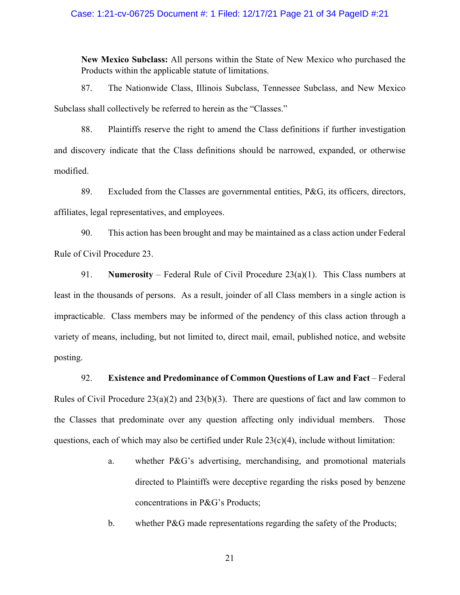# Case: 1:21-cv-06725 Document #: 1 Filed: 12/17/21 Page 21 of 34 PageID #:21

**New Mexico Subclass:** All persons within the State of New Mexico who purchased the Products within the applicable statute of limitations.

87. The Nationwide Class, Illinois Subclass, Tennessee Subclass, and New Mexico Subclass shall collectively be referred to herein as the "Classes."

88. Plaintiffs reserve the right to amend the Class definitions if further investigation and discovery indicate that the Class definitions should be narrowed, expanded, or otherwise modified.

89. Excluded from the Classes are governmental entities, P&G, its officers, directors, affiliates, legal representatives, and employees.

90. This action has been brought and may be maintained as a class action under Federal Rule of Civil Procedure 23.

91. **Numerosity** – Federal Rule of Civil Procedure 23(a)(1). This Class numbers at least in the thousands of persons. As a result, joinder of all Class members in a single action is impracticable. Class members may be informed of the pendency of this class action through a variety of means, including, but not limited to, direct mail, email, published notice, and website posting.

92. **Existence and Predominance of Common Questions of Law and Fact** – Federal Rules of Civil Procedure 23(a)(2) and 23(b)(3). There are questions of fact and law common to the Classes that predominate over any question affecting only individual members. Those questions, each of which may also be certified under Rule  $23(c)(4)$ , include without limitation:

- a. whether P&G's advertising, merchandising, and promotional materials directed to Plaintiffs were deceptive regarding the risks posed by benzene concentrations in P&G's Products;
- b. whether P&G made representations regarding the safety of the Products;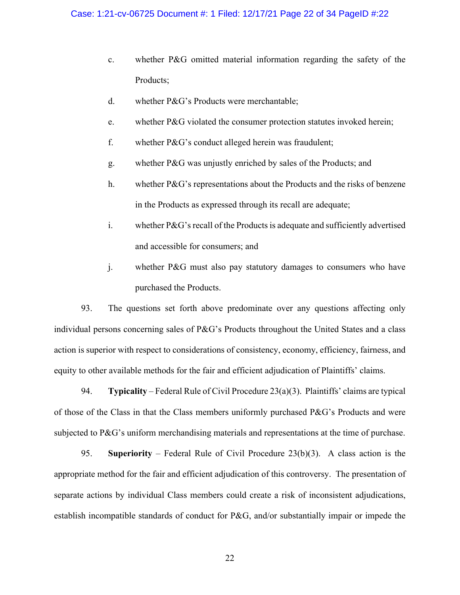- c. whether P&G omitted material information regarding the safety of the Products;
- d. whether P&G's Products were merchantable;
- e. whether P&G violated the consumer protection statutes invoked herein;
- f. whether P&G's conduct alleged herein was fraudulent;
- g. whether P&G was unjustly enriched by sales of the Products; and
- h. whether P&G's representations about the Products and the risks of benzene in the Products as expressed through its recall are adequate;
- i. whether P&G's recall of the Products is adequate and sufficiently advertised and accessible for consumers; and
- j. whether P&G must also pay statutory damages to consumers who have purchased the Products.

93. The questions set forth above predominate over any questions affecting only individual persons concerning sales of P&G's Products throughout the United States and a class action is superior with respect to considerations of consistency, economy, efficiency, fairness, and equity to other available methods for the fair and efficient adjudication of Plaintiffs' claims.

94. **Typicality** – Federal Rule of Civil Procedure 23(a)(3). Plaintiffs' claims are typical of those of the Class in that the Class members uniformly purchased P&G's Products and were subjected to P&G's uniform merchandising materials and representations at the time of purchase.

95. **Superiority** ‒ Federal Rule of Civil Procedure 23(b)(3). A class action is the appropriate method for the fair and efficient adjudication of this controversy. The presentation of separate actions by individual Class members could create a risk of inconsistent adjudications, establish incompatible standards of conduct for P&G, and/or substantially impair or impede the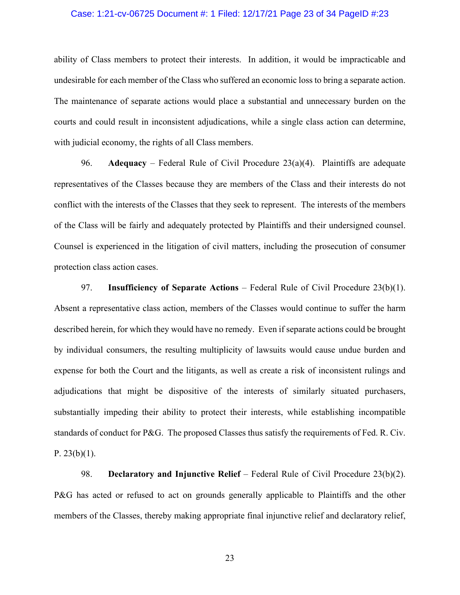# Case: 1:21-cv-06725 Document #: 1 Filed: 12/17/21 Page 23 of 34 PageID #:23

ability of Class members to protect their interests. In addition, it would be impracticable and undesirable for each member of the Class who suffered an economic loss to bring a separate action. The maintenance of separate actions would place a substantial and unnecessary burden on the courts and could result in inconsistent adjudications, while a single class action can determine, with judicial economy, the rights of all Class members.

96. **Adequacy** – Federal Rule of Civil Procedure 23(a)(4). Plaintiffs are adequate representatives of the Classes because they are members of the Class and their interests do not conflict with the interests of the Classes that they seek to represent. The interests of the members of the Class will be fairly and adequately protected by Plaintiffs and their undersigned counsel. Counsel is experienced in the litigation of civil matters, including the prosecution of consumer protection class action cases.

97. **Insufficiency of Separate Actions** – Federal Rule of Civil Procedure 23(b)(1). Absent a representative class action, members of the Classes would continue to suffer the harm described herein, for which they would have no remedy. Even if separate actions could be brought by individual consumers, the resulting multiplicity of lawsuits would cause undue burden and expense for both the Court and the litigants, as well as create a risk of inconsistent rulings and adjudications that might be dispositive of the interests of similarly situated purchasers, substantially impeding their ability to protect their interests, while establishing incompatible standards of conduct for P&G. The proposed Classes thus satisfy the requirements of Fed. R. Civ. P. 23(b)(1).

98. **Declaratory and Injunctive Relief** – Federal Rule of Civil Procedure 23(b)(2). P&G has acted or refused to act on grounds generally applicable to Plaintiffs and the other members of the Classes, thereby making appropriate final injunctive relief and declaratory relief,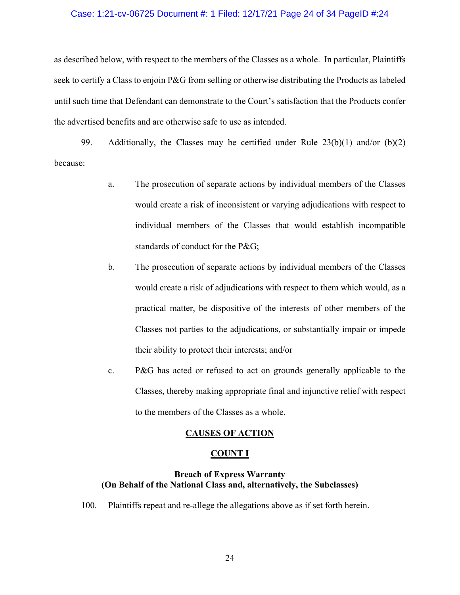# Case: 1:21-cv-06725 Document #: 1 Filed: 12/17/21 Page 24 of 34 PageID #:24

as described below, with respect to the members of the Classes as a whole. In particular, Plaintiffs seek to certify a Class to enjoin P&G from selling or otherwise distributing the Products as labeled until such time that Defendant can demonstrate to the Court's satisfaction that the Products confer the advertised benefits and are otherwise safe to use as intended.

99. Additionally, the Classes may be certified under Rule  $23(b)(1)$  and/or  $(b)(2)$ because:

- a. The prosecution of separate actions by individual members of the Classes would create a risk of inconsistent or varying adjudications with respect to individual members of the Classes that would establish incompatible standards of conduct for the P&G;
- b. The prosecution of separate actions by individual members of the Classes would create a risk of adjudications with respect to them which would, as a practical matter, be dispositive of the interests of other members of the Classes not parties to the adjudications, or substantially impair or impede their ability to protect their interests; and/or
- c. P&G has acted or refused to act on grounds generally applicable to the Classes, thereby making appropriate final and injunctive relief with respect to the members of the Classes as a whole.

# **CAUSES OF ACTION**

#### **COUNT I**

# **Breach of Express Warranty (On Behalf of the National Class and, alternatively, the Subclasses)**

100. Plaintiffs repeat and re-allege the allegations above as if set forth herein.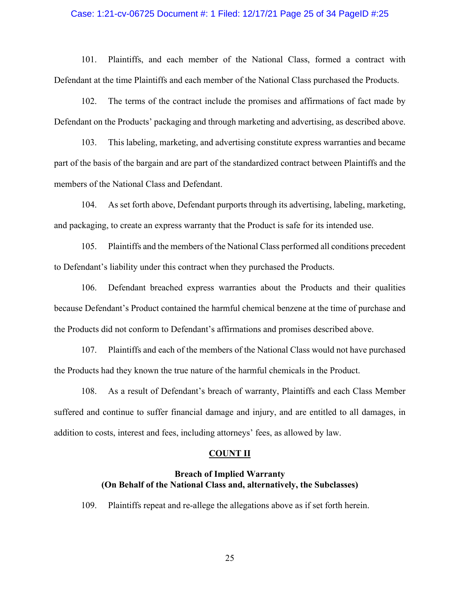# Case: 1:21-cv-06725 Document #: 1 Filed: 12/17/21 Page 25 of 34 PageID #:25

101. Plaintiffs, and each member of the National Class, formed a contract with Defendant at the time Plaintiffs and each member of the National Class purchased the Products.

102. The terms of the contract include the promises and affirmations of fact made by Defendant on the Products' packaging and through marketing and advertising, as described above.

103. This labeling, marketing, and advertising constitute express warranties and became part of the basis of the bargain and are part of the standardized contract between Plaintiffs and the members of the National Class and Defendant.

104. As set forth above, Defendant purports through its advertising, labeling, marketing, and packaging, to create an express warranty that the Product is safe for its intended use.

105. Plaintiffs and the members of the National Class performed all conditions precedent to Defendant's liability under this contract when they purchased the Products.

106. Defendant breached express warranties about the Products and their qualities because Defendant's Product contained the harmful chemical benzene at the time of purchase and the Products did not conform to Defendant's affirmations and promises described above.

107. Plaintiffs and each of the members of the National Class would not have purchased the Products had they known the true nature of the harmful chemicals in the Product.

108. As a result of Defendant's breach of warranty, Plaintiffs and each Class Member suffered and continue to suffer financial damage and injury, and are entitled to all damages, in addition to costs, interest and fees, including attorneys' fees, as allowed by law.

#### **COUNT II**

# **Breach of Implied Warranty (On Behalf of the National Class and, alternatively, the Subclasses)**

109. Plaintiffs repeat and re-allege the allegations above as if set forth herein.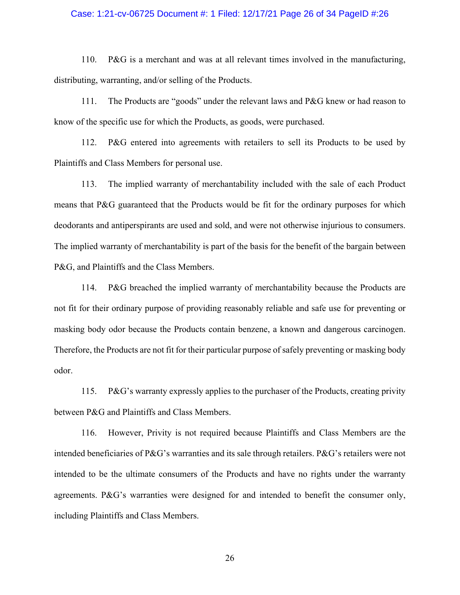# Case: 1:21-cv-06725 Document #: 1 Filed: 12/17/21 Page 26 of 34 PageID #:26

110. P&G is a merchant and was at all relevant times involved in the manufacturing, distributing, warranting, and/or selling of the Products.

111. The Products are "goods" under the relevant laws and P&G knew or had reason to know of the specific use for which the Products, as goods, were purchased.

112. P&G entered into agreements with retailers to sell its Products to be used by Plaintiffs and Class Members for personal use.

113. The implied warranty of merchantability included with the sale of each Product means that P&G guaranteed that the Products would be fit for the ordinary purposes for which deodorants and antiperspirants are used and sold, and were not otherwise injurious to consumers. The implied warranty of merchantability is part of the basis for the benefit of the bargain between P&G, and Plaintiffs and the Class Members.

114. P&G breached the implied warranty of merchantability because the Products are not fit for their ordinary purpose of providing reasonably reliable and safe use for preventing or masking body odor because the Products contain benzene, a known and dangerous carcinogen. Therefore, the Products are not fit for their particular purpose of safely preventing or masking body odor.

115. P&G's warranty expressly applies to the purchaser of the Products, creating privity between P&G and Plaintiffs and Class Members.

116. However, Privity is not required because Plaintiffs and Class Members are the intended beneficiaries of P&G's warranties and its sale through retailers. P&G's retailers were not intended to be the ultimate consumers of the Products and have no rights under the warranty agreements. P&G's warranties were designed for and intended to benefit the consumer only, including Plaintiffs and Class Members.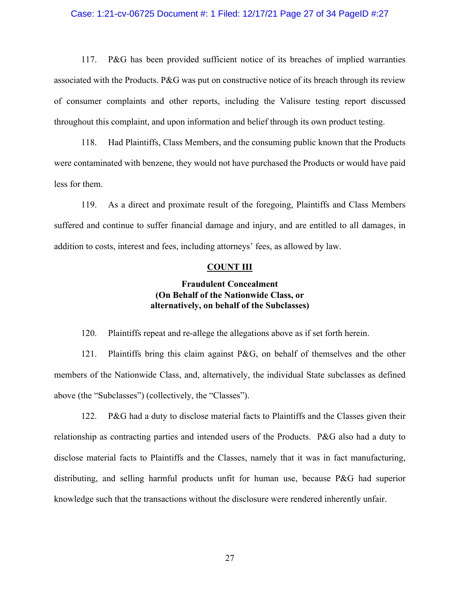# Case: 1:21-cv-06725 Document #: 1 Filed: 12/17/21 Page 27 of 34 PageID #:27

117. P&G has been provided sufficient notice of its breaches of implied warranties associated with the Products. P&G was put on constructive notice of its breach through its review of consumer complaints and other reports, including the Valisure testing report discussed throughout this complaint, and upon information and belief through its own product testing.

118. Had Plaintiffs, Class Members, and the consuming public known that the Products were contaminated with benzene, they would not have purchased the Products or would have paid less for them.

119. As a direct and proximate result of the foregoing, Plaintiffs and Class Members suffered and continue to suffer financial damage and injury, and are entitled to all damages, in addition to costs, interest and fees, including attorneys' fees, as allowed by law.

# **COUNT III**

# **Fraudulent Concealment (On Behalf of the Nationwide Class, or alternatively, on behalf of the Subclasses)**

120. Plaintiffs repeat and re-allege the allegations above as if set forth herein.

121. Plaintiffs bring this claim against P&G, on behalf of themselves and the other members of the Nationwide Class, and, alternatively, the individual State subclasses as defined above (the "Subclasses") (collectively, the "Classes").

122. P&G had a duty to disclose material facts to Plaintiffs and the Classes given their relationship as contracting parties and intended users of the Products. P&G also had a duty to disclose material facts to Plaintiffs and the Classes, namely that it was in fact manufacturing, distributing, and selling harmful products unfit for human use, because P&G had superior knowledge such that the transactions without the disclosure were rendered inherently unfair.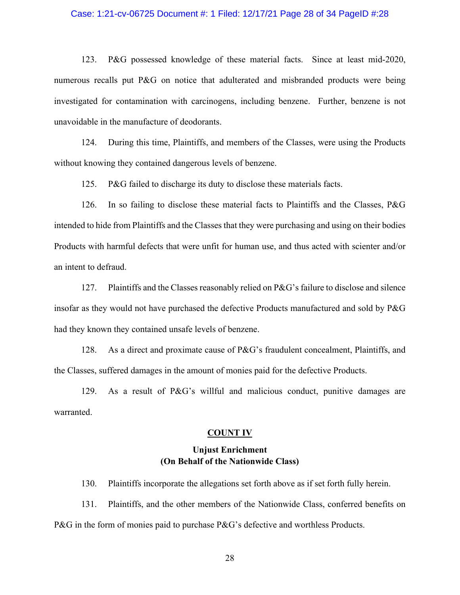# Case: 1:21-cv-06725 Document #: 1 Filed: 12/17/21 Page 28 of 34 PageID #:28

123. P&G possessed knowledge of these material facts. Since at least mid-2020, numerous recalls put P&G on notice that adulterated and misbranded products were being investigated for contamination with carcinogens, including benzene. Further, benzene is not unavoidable in the manufacture of deodorants.

124. During this time, Plaintiffs, and members of the Classes, were using the Products without knowing they contained dangerous levels of benzene.

125. P&G failed to discharge its duty to disclose these materials facts.

126. In so failing to disclose these material facts to Plaintiffs and the Classes, P&G intended to hide from Plaintiffs and the Classes that they were purchasing and using on their bodies Products with harmful defects that were unfit for human use, and thus acted with scienter and/or an intent to defraud.

127. Plaintiffs and the Classes reasonably relied on P&G's failure to disclose and silence insofar as they would not have purchased the defective Products manufactured and sold by P&G had they known they contained unsafe levels of benzene.

128. As a direct and proximate cause of P&G's fraudulent concealment, Plaintiffs, and the Classes, suffered damages in the amount of monies paid for the defective Products.

129. As a result of P&G's willful and malicious conduct, punitive damages are warranted.

#### **COUNT IV**

# **Unjust Enrichment (On Behalf of the Nationwide Class)**

130. Plaintiffs incorporate the allegations set forth above as if set forth fully herein.

131. Plaintiffs, and the other members of the Nationwide Class, conferred benefits on P&G in the form of monies paid to purchase P&G's defective and worthless Products.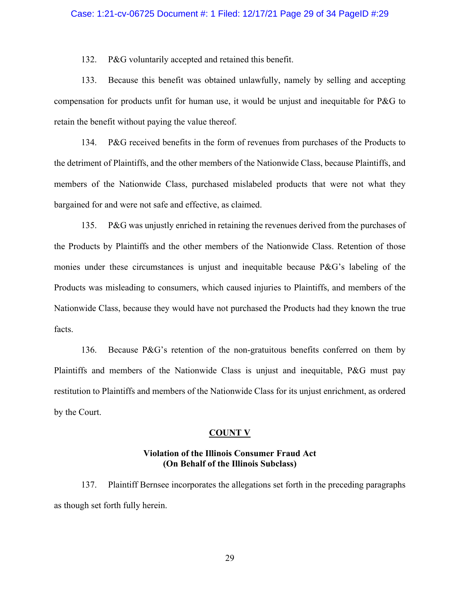#### Case: 1:21-cv-06725 Document #: 1 Filed: 12/17/21 Page 29 of 34 PageID #:29

132. P&G voluntarily accepted and retained this benefit.

133. Because this benefit was obtained unlawfully, namely by selling and accepting compensation for products unfit for human use, it would be unjust and inequitable for P&G to retain the benefit without paying the value thereof.

134. P&G received benefits in the form of revenues from purchases of the Products to the detriment of Plaintiffs, and the other members of the Nationwide Class, because Plaintiffs, and members of the Nationwide Class, purchased mislabeled products that were not what they bargained for and were not safe and effective, as claimed.

135. P&G was unjustly enriched in retaining the revenues derived from the purchases of the Products by Plaintiffs and the other members of the Nationwide Class. Retention of those monies under these circumstances is unjust and inequitable because P&G's labeling of the Products was misleading to consumers, which caused injuries to Plaintiffs, and members of the Nationwide Class, because they would have not purchased the Products had they known the true facts.

136. Because P&G's retention of the non-gratuitous benefits conferred on them by Plaintiffs and members of the Nationwide Class is unjust and inequitable, P&G must pay restitution to Plaintiffs and members of the Nationwide Class for its unjust enrichment, as ordered by the Court.

#### **COUNT V**

# **Violation of the Illinois Consumer Fraud Act (On Behalf of the Illinois Subclass)**

137. Plaintiff Bernsee incorporates the allegations set forth in the preceding paragraphs as though set forth fully herein.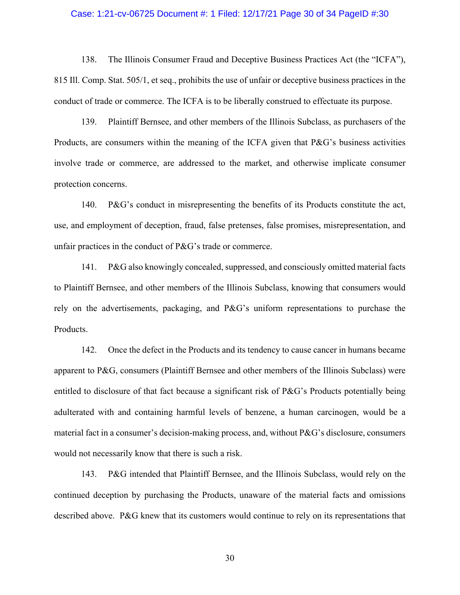#### Case: 1:21-cv-06725 Document #: 1 Filed: 12/17/21 Page 30 of 34 PageID #:30

138. The Illinois Consumer Fraud and Deceptive Business Practices Act (the "ICFA"), 815 Ill. Comp. Stat. 505/1, et seq., prohibits the use of unfair or deceptive business practices in the conduct of trade or commerce. The ICFA is to be liberally construed to effectuate its purpose.

139. Plaintiff Bernsee, and other members of the Illinois Subclass, as purchasers of the Products, are consumers within the meaning of the ICFA given that P&G's business activities involve trade or commerce, are addressed to the market, and otherwise implicate consumer protection concerns.

140. P&G's conduct in misrepresenting the benefits of its Products constitute the act, use, and employment of deception, fraud, false pretenses, false promises, misrepresentation, and unfair practices in the conduct of P&G's trade or commerce.

141. P&G also knowingly concealed, suppressed, and consciously omitted material facts to Plaintiff Bernsee, and other members of the Illinois Subclass, knowing that consumers would rely on the advertisements, packaging, and P&G's uniform representations to purchase the Products.

142. Once the defect in the Products and its tendency to cause cancer in humans became apparent to P&G, consumers (Plaintiff Bernsee and other members of the Illinois Subclass) were entitled to disclosure of that fact because a significant risk of P&G's Products potentially being adulterated with and containing harmful levels of benzene, a human carcinogen, would be a material fact in a consumer's decision-making process, and, without P&G's disclosure, consumers would not necessarily know that there is such a risk.

143. P&G intended that Plaintiff Bernsee, and the Illinois Subclass, would rely on the continued deception by purchasing the Products, unaware of the material facts and omissions described above. P&G knew that its customers would continue to rely on its representations that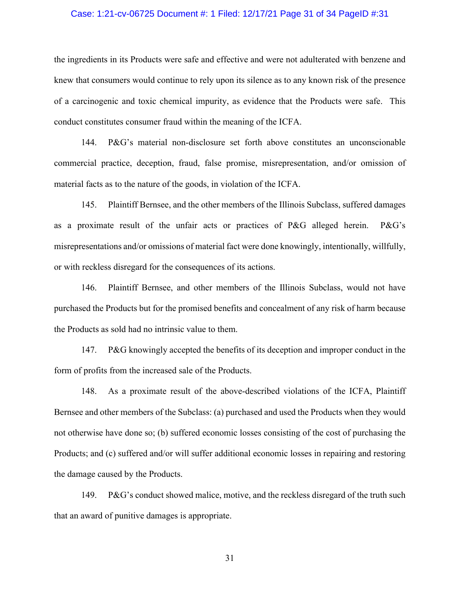# Case: 1:21-cv-06725 Document #: 1 Filed: 12/17/21 Page 31 of 34 PageID #:31

the ingredients in its Products were safe and effective and were not adulterated with benzene and knew that consumers would continue to rely upon its silence as to any known risk of the presence of a carcinogenic and toxic chemical impurity, as evidence that the Products were safe. This conduct constitutes consumer fraud within the meaning of the ICFA.

144. P&G's material non-disclosure set forth above constitutes an unconscionable commercial practice, deception, fraud, false promise, misrepresentation, and/or omission of material facts as to the nature of the goods, in violation of the ICFA.

145. Plaintiff Bernsee, and the other members of the Illinois Subclass, suffered damages as a proximate result of the unfair acts or practices of P&G alleged herein. P&G's misrepresentations and/or omissions of material fact were done knowingly, intentionally, willfully, or with reckless disregard for the consequences of its actions.

146. Plaintiff Bernsee, and other members of the Illinois Subclass, would not have purchased the Products but for the promised benefits and concealment of any risk of harm because the Products as sold had no intrinsic value to them.

147. P&G knowingly accepted the benefits of its deception and improper conduct in the form of profits from the increased sale of the Products.

148. As a proximate result of the above-described violations of the ICFA, Plaintiff Bernsee and other members of the Subclass: (a) purchased and used the Products when they would not otherwise have done so; (b) suffered economic losses consisting of the cost of purchasing the Products; and (c) suffered and/or will suffer additional economic losses in repairing and restoring the damage caused by the Products.

149. P&G's conduct showed malice, motive, and the reckless disregard of the truth such that an award of punitive damages is appropriate.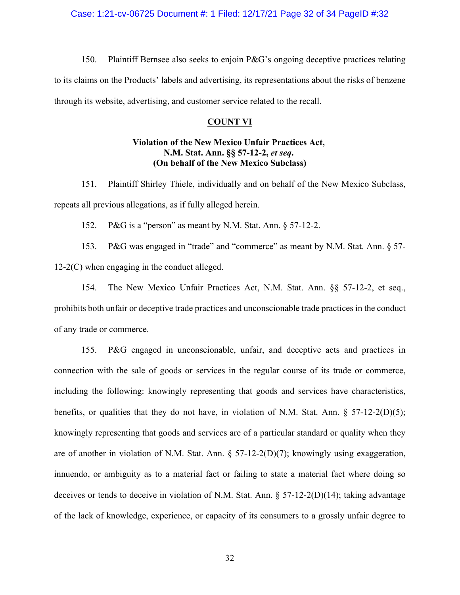Case: 1:21-cv-06725 Document #: 1 Filed: 12/17/21 Page 32 of 34 PageID #:32

150. Plaintiff Bernsee also seeks to enjoin P&G's ongoing deceptive practices relating to its claims on the Products' labels and advertising, its representations about the risks of benzene through its website, advertising, and customer service related to the recall.

#### **COUNT VI**

# **Violation of the New Mexico Unfair Practices Act, N.M. Stat. Ann. §§ 57-12-2,** *et seq***. (On behalf of the New Mexico Subclass)**

151. Plaintiff Shirley Thiele, individually and on behalf of the New Mexico Subclass, repeats all previous allegations, as if fully alleged herein.

152. P&G is a "person" as meant by N.M. Stat. Ann. § 57-12-2.

153. P&G was engaged in "trade" and "commerce" as meant by N.M. Stat. Ann. § 57- 12-2(C) when engaging in the conduct alleged.

154. The New Mexico Unfair Practices Act, N.M. Stat. Ann. §§ 57-12-2, et seq., prohibits both unfair or deceptive trade practices and unconscionable trade practices in the conduct of any trade or commerce.

155. P&G engaged in unconscionable, unfair, and deceptive acts and practices in connection with the sale of goods or services in the regular course of its trade or commerce, including the following: knowingly representing that goods and services have characteristics, benefits, or qualities that they do not have, in violation of N.M. Stat. Ann. § 57-12-2(D)(5); knowingly representing that goods and services are of a particular standard or quality when they are of another in violation of N.M. Stat. Ann. § 57-12-2(D)(7); knowingly using exaggeration, innuendo, or ambiguity as to a material fact or failing to state a material fact where doing so deceives or tends to deceive in violation of N.M. Stat. Ann. § 57-12-2(D)(14); taking advantage of the lack of knowledge, experience, or capacity of its consumers to a grossly unfair degree to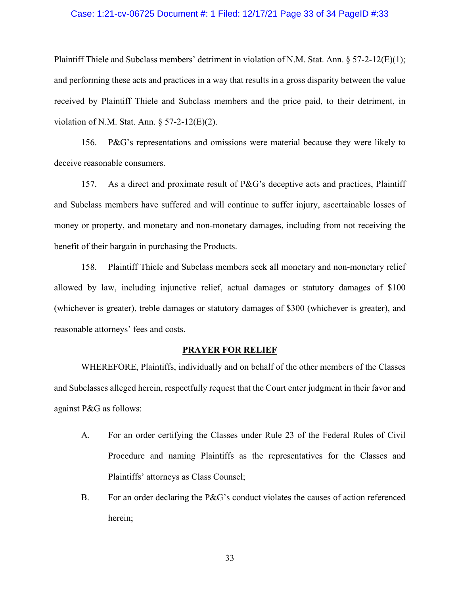# Case: 1:21-cv-06725 Document #: 1 Filed: 12/17/21 Page 33 of 34 PageID #:33

Plaintiff Thiele and Subclass members' detriment in violation of N.M. Stat. Ann. § 57-2-12(E)(1); and performing these acts and practices in a way that results in a gross disparity between the value received by Plaintiff Thiele and Subclass members and the price paid, to their detriment, in violation of N.M. Stat. Ann. § 57-2-12(E)(2).

156. P&G's representations and omissions were material because they were likely to deceive reasonable consumers.

157. As a direct and proximate result of P&G's deceptive acts and practices, Plaintiff and Subclass members have suffered and will continue to suffer injury, ascertainable losses of money or property, and monetary and non-monetary damages, including from not receiving the benefit of their bargain in purchasing the Products.

158. Plaintiff Thiele and Subclass members seek all monetary and non-monetary relief allowed by law, including injunctive relief, actual damages or statutory damages of \$100 (whichever is greater), treble damages or statutory damages of \$300 (whichever is greater), and reasonable attorneys' fees and costs.

# **PRAYER FOR RELIEF**

WHEREFORE, Plaintiffs, individually and on behalf of the other members of the Classes and Subclasses alleged herein, respectfully request that the Court enter judgment in their favor and against P&G as follows:

- A. For an order certifying the Classes under Rule 23 of the Federal Rules of Civil Procedure and naming Plaintiffs as the representatives for the Classes and Plaintiffs' attorneys as Class Counsel;
- B. For an order declaring the P&G's conduct violates the causes of action referenced herein;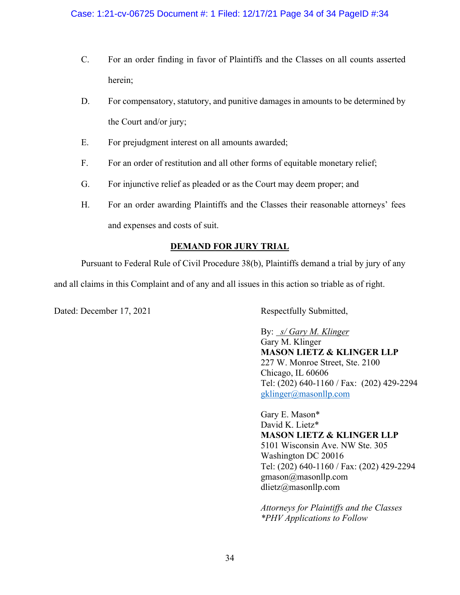- C. For an order finding in favor of Plaintiffs and the Classes on all counts asserted herein;
- D. For compensatory, statutory, and punitive damages in amounts to be determined by the Court and/or jury;
- E. For prejudgment interest on all amounts awarded;
- F. For an order of restitution and all other forms of equitable monetary relief;
- G. For injunctive relief as pleaded or as the Court may deem proper; and
- H. For an order awarding Plaintiffs and the Classes their reasonable attorneys' fees and expenses and costs of suit.

# **DEMAND FOR JURY TRIAL**

Pursuant to Federal Rule of Civil Procedure 38(b), Plaintiffs demand a trial by jury of any

and all claims in this Complaint and of any and all issues in this action so triable as of right.

Dated: December 17, 2021 Respectfully Submitted,

By: *s/ Gary M. Klinger*  Gary M. Klinger **MASON LIETZ & KLINGER LLP** 227 W. Monroe Street, Ste. 2100 Chicago, IL 60606 Tel: (202) 640-1160 / Fax: (202) 429-2294 [gklinger@masonllp.com](mailto:gklinger@masonllp.com)

Gary E. Mason\* David K. Lietz\* **MASON LIETZ & KLINGER LLP** 5101 Wisconsin Ave. NW Ste. 305 Washington DC 20016 Tel: (202) 640-1160 / Fax: (202) 429-2294 gmason@masonllp.com dlietz@masonllp.com

*Attorneys for Plaintiffs and the Classes \*PHV Applications to Follow*